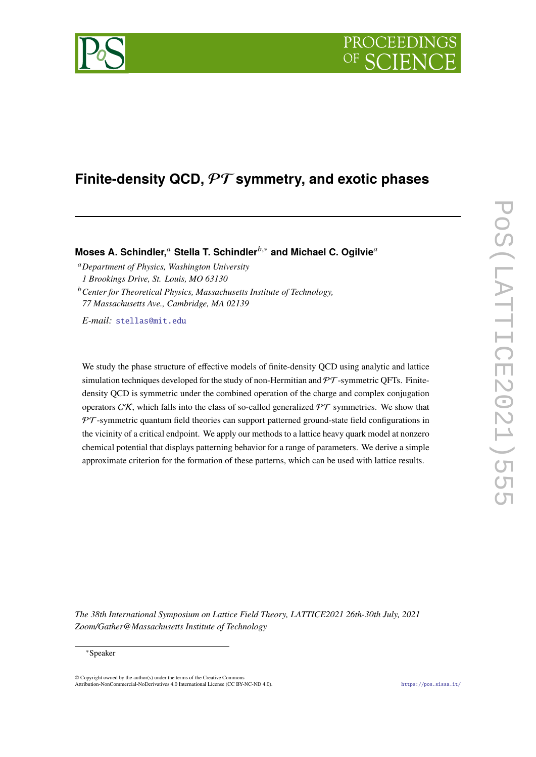# PROCEEDIN

## **Finite-density QCD,** PT **symmetry, and exotic phases**

Moses A. Schindler,<sup>*a*</sup> Stella T. Schindler<sup>*b*,∗</sup> and Michael C. Ogilvie<sup>*a*</sup>

*Department of Physics, Washington University 1 Brookings Drive, St. Louis, MO 63130*

*Center for Theoretical Physics, Massachusetts Institute of Technology, 77 Massachusetts Ave., Cambridge, MA 02139*

*E-mail:* [stellas@mit.edu](mailto:stellas@mit.edu)

We study the phase structure of effective models of finite-density QCD using analytic and lattice simulation techniques developed for the study of non-Hermitian and  $\mathcal{PT}$ -symmetric QFTs. Finitedensity QCD is symmetric under the combined operation of the charge and complex conjugation operators CK, which falls into the class of so-called generalized  $\mathcal{PT}$  symmetries. We show that  $PT$ -symmetric quantum field theories can support patterned ground-state field configurations in the vicinity of a critical endpoint. We apply our methods to a lattice heavy quark model at nonzero chemical potential that displays patterning behavior for a range of parameters. We derive a simple approximate criterion for the formation of these patterns, which can be used with lattice results.

*The 38th International Symposium on Lattice Field Theory, LATTICE2021 26th-30th July, 2021 Zoom/Gather@Massachusetts Institute of Technology*

#### <sup>∗</sup>Speaker

 $\odot$  Copyright owned by the author(s) under the terms of the Creative Common Attribution-NonCommercial-NoDerivatives 4.0 International License (CC BY-NC-ND 4.0). <https://pos.sissa.it/>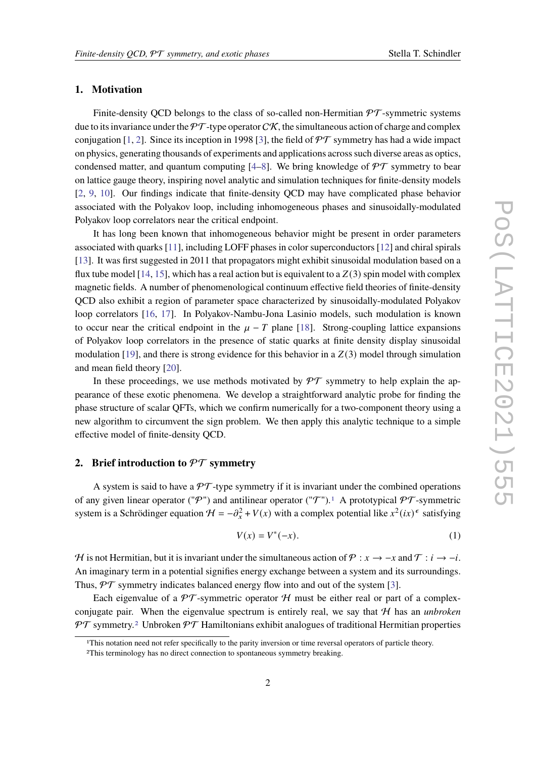#### **1. Motivation**

Finite-density QCD belongs to the class of so-called non-Hermitian  $\mathcal{PT}$ -symmetric systems due to its invariance under the  $\mathcal{PT}$ -type operator  $\mathcal{CK}$ , the simultaneous action of charge and complex conjugation [\[1,](#page-7-0) [2\]](#page-7-1). Since its inception in 1998 [\[3\]](#page-7-2), the field of  $\mathcal{PT}$  symmetry has had a wide impact on physics, generating thousands of experiments and applications across such diverse areas as optics, condensed matter, and quantum computing  $[4–8]$  $[4–8]$ . We bring knowledge of  $\mathcal{PT}$  symmetry to bear on lattice gauge theory, inspiring novel analytic and simulation techniques for finite-density models [\[2,](#page-7-1) [9,](#page-7-5) [10\]](#page-7-6). Our findings indicate that finite-density QCD may have complicated phase behavior associated with the Polyakov loop, including inhomogeneous phases and sinusoidally-modulated Polyakov loop correlators near the critical endpoint.

It has long been known that inhomogeneous behavior might be present in order parameters associated with quarks [\[11\]](#page-7-7), including LOFF phases in color superconductors [\[12\]](#page-7-8) and chiral spirals [\[13\]](#page-7-9). It was first suggested in 2011 that propagators might exhibit sinusoidal modulation based on a flux tube model [\[14,](#page-7-10) [15\]](#page-7-11), which has a real action but is equivalent to a  $Z(3)$  spin model with complex magnetic fields. A number of phenomenological continuum effective field theories of finite-density QCD also exhibit a region of parameter space characterized by sinusoidally-modulated Polyakov loop correlators [\[16,](#page-7-12) [17\]](#page-8-0). In Polyakov-Nambu-Jona Lasinio models, such modulation is known to occur near the critical endpoint in the  $\mu - T$  plane [\[18\]](#page-8-1). Strong-coupling lattice expansions of Polyakov loop correlators in the presence of static quarks at finite density display sinusoidal modulation [\[19\]](#page-8-2), and there is strong evidence for this behavior in a  $Z(3)$  model through simulation and mean field theory [\[20\]](#page-8-3).

In these proceedings, we use methods motivated by  $\mathcal{PT}$  symmetry to help explain the appearance of these exotic phenomena. We develop a straightforward analytic probe for finding the phase structure of scalar QFTs, which we confirm numerically for a two-component theory using a new algorithm to circumvent the sign problem. We then apply this analytic technique to a simple effective model of finite-density QCD.

#### **2. Brief introduction to** PT **symmetry**

A system is said to have a  $\mathcal{PT}$ -type symmetry if it is invariant under the combined operations of any given linear operator ("P") and antilinear operator ("T").<sup>[1](#page-1-0)</sup> A prototypical  $\mathcal{PT}$ -symmetric system is a Schrödinger equation  $H = -\partial_x^2 + V(x)$  with a complex potential like  $x^2(ix)$ <sup> $\epsilon$ </sup> satisfying

<span id="page-1-2"></span>
$$
V(x) = V^*(-x). \tag{1}
$$

H is not Hermitian, but it is invariant under the simultaneous action of  $P : x \to -x$  and  $T : i \to -i$ . An imaginary term in a potential signifies energy exchange between a system and its surroundings. Thus,  $\mathcal{PT}$  symmetry indicates balanced energy flow into and out of the system [\[3\]](#page-7-2).

Each eigenvalue of a  $\mathcal{PT}$ -symmetric operator H must be either real or part of a complexconjugate pair. When the eigenvalue spectrum is entirely real, we say that H has an *unbroken*  $PT$  symmetry.<sup>[2](#page-1-1)</sup> Unbroken  $PT$  Hamiltonians exhibit analogues of traditional Hermitian properties

<span id="page-1-0"></span><sup>1</sup>This notation need not refer specifically to the parity inversion or time reversal operators of particle theory.

<span id="page-1-1"></span><sup>2</sup>This terminology has no direct connection to spontaneous symmetry breaking.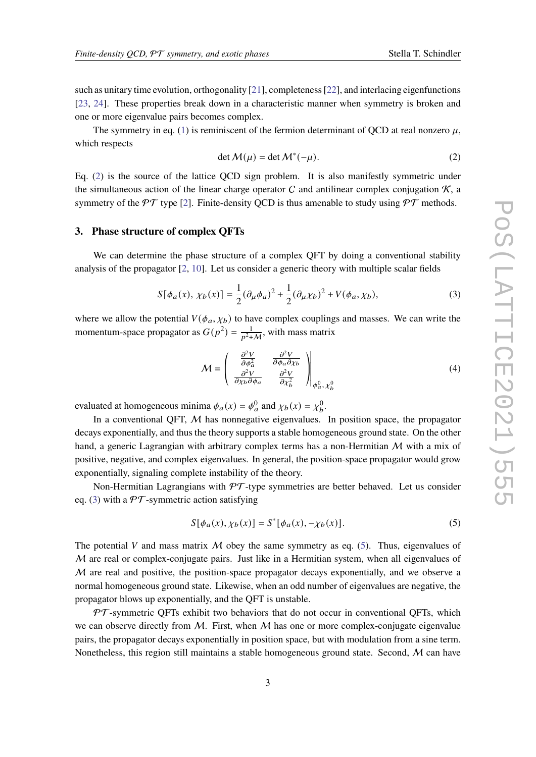such as unitary time evolution, orthogonality [\[21\]](#page-8-4), completeness [\[22\]](#page-8-5), and interlacing eigenfunctions [\[23,](#page-8-6) [24\]](#page-8-7). These properties break down in a characteristic manner when symmetry is broken and one or more eigenvalue pairs becomes complex.

The symmetry in eq. [\(1\)](#page-1-2) is reminiscent of the fermion determinant of QCD at real nonzero  $\mu$ , which respects

<span id="page-2-0"></span>
$$
\det M(\mu) = \det M^*(-\mu). \tag{2}
$$

Eq. [\(2\)](#page-2-0) is the source of the lattice QCD sign problem. It is also manifestly symmetric under the simultaneous action of the linear charge operator  $C$  and antilinear complex conjugation  $K$ , a symmetry of the PT type [\[2\]](#page-7-1). Finite-density OCD is thus amenable to study using  $\mathcal{PT}$  methods.

#### <span id="page-2-4"></span>**3. Phase structure of complex QFTs**

We can determine the phase structure of a complex QFT by doing a conventional stability analysis of the propagator [\[2,](#page-7-1) [10\]](#page-7-6). Let us consider a generic theory with multiple scalar fields

<span id="page-2-1"></span>
$$
S[\phi_a(x), \chi_b(x)] = \frac{1}{2} (\partial_\mu \phi_a)^2 + \frac{1}{2} (\partial_\mu \chi_b)^2 + V(\phi_a, \chi_b),
$$
 (3)

where we allow the potential  $V(\phi_a, \chi_b)$  to have complex couplings and masses. We can write the momentum-space propagator as  $G(p^2) = \frac{1}{p^2+M}$ , with mass matrix

<span id="page-2-3"></span>
$$
\mathcal{M} = \begin{pmatrix} \frac{\partial^2 V}{\partial \phi_a^2} & \frac{\partial^2 V}{\partial \phi_a \partial \chi_b} \\ \frac{\partial^2 V}{\partial \chi_b \partial \phi_a} & \frac{\partial^2 V}{\partial \chi_b^2} \end{pmatrix}_{\phi_a^0, \chi_b^0}
$$
(4)

evaluated at homogeneous minima  $\phi_a(x) = \phi_a^0$  and  $\chi_b(x) = \chi_b^0$ .

In a conventional QFT,  $M$  has nonnegative eigenvalues. In position space, the propagator decays exponentially, and thus the theory supports a stable homogeneous ground state. On the other hand, a generic Lagrangian with arbitrary complex terms has a non-Hermitian  $M$  with a mix of positive, negative, and complex eigenvalues. In general, the position-space propagator would grow exponentially, signaling complete instability of the theory.

Non-Hermitian Lagrangians with  $\mathcal{PT}$ -type symmetries are better behaved. Let us consider eq. [\(3\)](#page-2-1) with a  $\mathcal{PT}$ -symmetric action satisfying

<span id="page-2-2"></span>
$$
S[\phi_a(x), \chi_b(x)] = S^*[\phi_a(x), -\chi_b(x)].
$$
 (5)

The potential V and mass matrix  $M$  obey the same symmetry as eq. [\(5\)](#page-2-2). Thus, eigenvalues of  $M$  are real or complex-conjugate pairs. Just like in a Hermitian system, when all eigenvalues of  $M$  are real and positive, the position-space propagator decays exponentially, and we observe a normal homogeneous ground state. Likewise, when an odd number of eigenvalues are negative, the propagator blows up exponentially, and the QFT is unstable.

 $PT$ -symmetric QFTs exhibit two behaviors that do not occur in conventional QFTs, which we can observe directly from M. First, when M has one or more complex-conjugate eigenvalue pairs, the propagator decays exponentially in position space, but with modulation from a sine term. Nonetheless, this region still maintains a stable homogeneous ground state. Second,  $M$  can have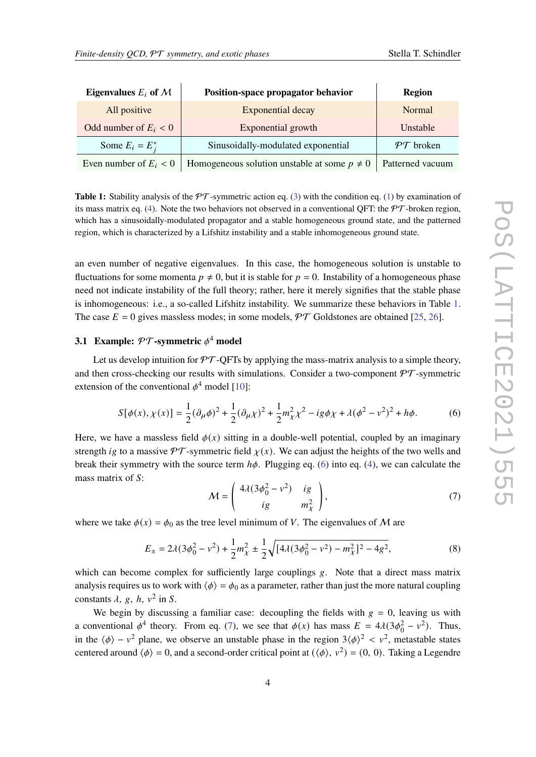<span id="page-3-0"></span>

| Eigenvalues $E_i$ of $\mathcal M$ | Position-space propagator behavior               | Region                |
|-----------------------------------|--------------------------------------------------|-----------------------|
| All positive                      | Exponential decay                                | Normal                |
| Odd number of $E_i < 0$           | Exponential growth                               | Unstable              |
| Some $E_i = E_i^*$                | Sinusoidally-modulated exponential               | $\mathcal{PT}$ broken |
| Even number of $E_i < 0$          | Homogeneous solution unstable at some $p \neq 0$ | Patterned vacuum      |

**Table 1:** Stability analysis of the  $\mathcal{PT}$ -symmetric action eq. [\(3\)](#page-2-1) with the condition eq. [\(1\)](#page-1-2) by examination of its mass matrix eq. [\(4\)](#page-2-3). Note the two behaviors not observed in a conventional OFT: the  $\mathcal{PT}$ -broken region, which has a sinusoidally-modulated propagator and a stable homogeneous ground state, and the patterned region, which is characterized by a Lifshitz instability and a stable inhomogeneous ground state.

an even number of negative eigenvalues. In this case, the homogeneous solution is unstable to fluctuations for some momenta  $p \neq 0$ , but it is stable for  $p = 0$ . Instability of a homogeneous phase need not indicate instability of the full theory; rather, here it merely signifies that the stable phase is inhomogeneous: i.e., a so-called Lifshitz instability. We summarize these behaviors in Table [1.](#page-3-0) The case  $E = 0$  gives massless modes; in some models,  $\mathcal{PT}$  Goldstones are obtained [\[25,](#page-8-8) [26\]](#page-8-9).

### **3.1 Example:**  $\mathcal{PT}$ -symmetric  $\phi^4$  model

Let us develop intuition for  $\mathcal{PT}\text{-}\overline{\text{OFT}}$  by applying the mass-matrix analysis to a simple theory, and then cross-checking our results with simulations. Consider a two-component  $\mathcal{PT}$ -symmetric extension of the conventional  $\phi^4$  model [\[10\]](#page-7-6):

<span id="page-3-1"></span>
$$
S[\phi(x), \chi(x)] = \frac{1}{2} (\partial_{\mu} \phi)^2 + \frac{1}{2} (\partial_{\mu} \chi)^2 + \frac{1}{2} m_{\chi}^2 \chi^2 - ig \phi \chi + \lambda (\phi^2 - v^2)^2 + h \phi. \tag{6}
$$

Here, we have a massless field  $\phi(x)$  sitting in a double-well potential, coupled by an imaginary strength *ig* to a massive  $\mathcal{PT}$ -symmetric field  $\chi(x)$ . We can adjust the heights of the two wells and break their symmetry with the source term  $h\phi$ . Plugging eq. [\(6\)](#page-3-1) into eq. [\(4\)](#page-2-3), we can calculate the mass matrix of  $S$ :

<span id="page-3-2"></span>
$$
\mathcal{M} = \begin{pmatrix} 4\lambda(3\phi_0^2 - v^2) & ig \\ ig & \frac{m_\chi^2}{2} \end{pmatrix},\tag{7}
$$

where we take  $\phi(x) = \phi_0$  as the tree level minimum of V. The eigenvalues of M are

$$
E_{\pm} = 2\lambda(3\phi_0^2 - v^2) + \frac{1}{2}m_{\chi}^2 \pm \frac{1}{2}\sqrt{[4\lambda(3\phi_0^2 - v^2) - m_{\chi}^2]^2 - 4g^2},
$$
 (8)

which can become complex for sufficiently large couplings  $g$ . Note that a direct mass matrix analysis requires us to work with  $\langle \phi \rangle = \phi_0$  as a parameter, rather than just the more natural coupling constants  $\lambda$ ,  $g$ ,  $h$ ,  $v^2$  in S.

We begin by discussing a familiar case: decoupling the fields with  $g = 0$ , leaving us with a conventional  $\phi^4$  theory. From eq. [\(7\)](#page-3-2), we see that  $\phi(x)$  has mass  $E = 4\lambda(3\phi_0^2 - v^2)$ . Thus, in the  $\langle \phi \rangle - v^2$  plane, we observe an unstable phase in the region 3 $\langle \phi \rangle^2 < v^2$ , metastable states centered around  $\langle \phi \rangle = 0$ , and a second-order critical point at  $(\langle \phi \rangle, v^2) = (0, 0)$ . Taking a Legendre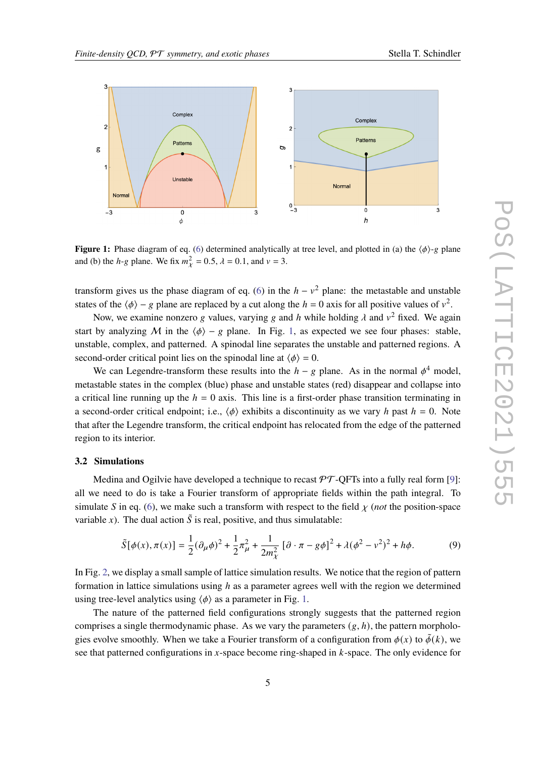<span id="page-4-0"></span>

**Figure 1:** Phase diagram of eq. [\(6\)](#page-3-1) determined analytically at tree level, and plotted in (a) the  $\langle \phi \rangle$ -g plane and (b) the *h*-*g* plane. We fix  $m_{\chi}^2 = 0.5$ ,  $\lambda = 0.1$ , and  $\nu = 3$ .

transform gives us the phase diagram of eq. [\(6\)](#page-3-1) in the  $h - v^2$  plane: the metastable and unstable states of the  $\langle \phi \rangle$  − g plane are replaced by a cut along the  $h = 0$  axis for all positive values of  $v^2$ .

Now, we examine nonzero g values, varying g and h while holding  $\lambda$  and  $v^2$  fixed. We again start by analyzing M in the  $\langle \phi \rangle - g$  plane. In Fig. [1,](#page-4-0) as expected we see four phases: stable, unstable, complex, and patterned. A spinodal line separates the unstable and patterned regions. A second-order critical point lies on the spinodal line at  $\langle \phi \rangle = 0$ .

We can Legendre-transform these results into the  $h - g$  plane. As in the normal  $\phi^4$  model, metastable states in the complex (blue) phase and unstable states (red) disappear and collapse into a critical line running up the  $h = 0$  axis. This line is a first-order phase transition terminating in a second-order critical endpoint; i.e.,  $\langle \phi \rangle$  exhibits a discontinuity as we vary h past  $h = 0$ . Note that after the Legendre transform, the critical endpoint has relocated from the edge of the patterned region to its interior.

#### **3.2 Simulations**

Medina and Ogilvie have developed a technique to recast  $\mathcal{PT}\text{-}\text{OFFs}$  into a fully real form [\[9\]](#page-7-5): all we need to do is take a Fourier transform of appropriate fields within the path integral. To simulate S in eq. [\(6\)](#page-3-1), we make such a transform with respect to the field  $\chi$  (*not* the position-space variable x). The dual action  $\tilde{S}$  is real, positive, and thus simulatable:

<span id="page-4-1"></span>
$$
\tilde{S}[\phi(x), \pi(x)] = \frac{1}{2} (\partial_{\mu} \phi)^2 + \frac{1}{2} \pi_{\mu}^2 + \frac{1}{2m_{\chi}^2} [\partial \cdot \pi - g\phi]^2 + \lambda (\phi^2 - v^2)^2 + h\phi. \tag{9}
$$

In Fig. [2,](#page-5-0) we display a small sample of lattice simulation results. We notice that the region of pattern formation in lattice simulations using  $h$  as a parameter agrees well with the region we determined using tree-level analytics using  $\langle \phi \rangle$  as a parameter in Fig. [1.](#page-4-0)

The nature of the patterned field configurations strongly suggests that the patterned region comprises a single thermodynamic phase. As we vary the parameters  $(g, h)$ , the pattern morphologies evolve smoothly. When we take a Fourier transform of a configuration from  $\phi(x)$  to  $\tilde{\phi}(k)$ , we see that patterned configurations in x-space become ring-shaped in  $k$ -space. The only evidence for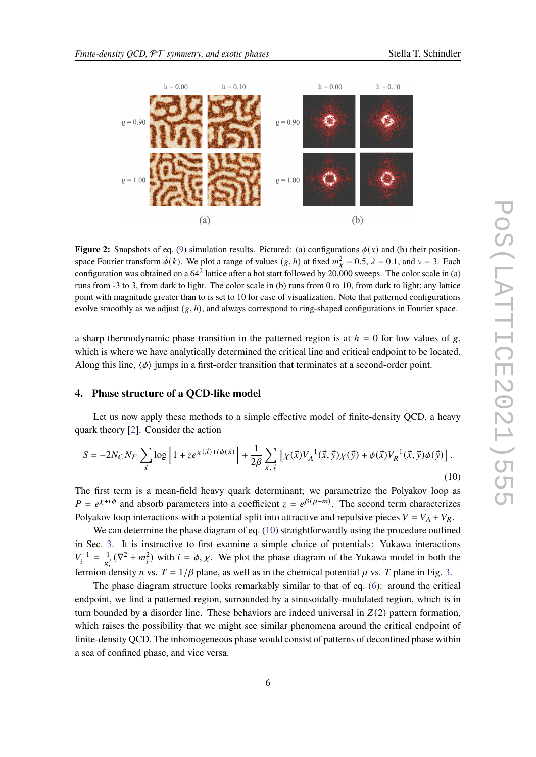

<span id="page-5-0"></span>

**Figure 2:** Snapshots of eq. [\(9\)](#page-4-1) simulation results. Pictured: (a) configurations  $\phi(x)$  and (b) their positionspace Fourier transform  $\tilde{\phi}(k)$ . We plot a range of values  $(g, h)$  at fixed  $m_{\chi}^2 = 0.5$ ,  $\lambda = 0.1$ , and  $\nu = 3$ . Each configuration was obtained on a  $64^2$  lattice after a hot start followed by 20,000 sweeps. The color scale in (a) runs from -3 to 3, from dark to light. The color scale in (b) runs from 0 to 10, from dark to light; any lattice point with magnitude greater than to is set to 10 for ease of visualization. Note that patterned configurations evolve smoothly as we adjust  $(g, h)$ , and always correspond to ring-shaped configurations in Fourier space.

a sharp thermodynamic phase transition in the patterned region is at  $h = 0$  for low values of g, which is where we have analytically determined the critical line and critical endpoint to be located. Along this line,  $\langle \phi \rangle$  jumps in a first-order transition that terminates at a second-order point.

#### **4. Phase structure of a QCD-like model**

Let us now apply these methods to a simple effective model of finite-density QCD, a heavy quark theory [\[2\]](#page-7-1). Consider the action

<span id="page-5-1"></span>
$$
S = -2N_C N_F \sum_{\vec{x}} \log \left[ 1 + z e^{\chi(\vec{x}) + i\phi(\vec{x})} \right] + \frac{1}{2\beta} \sum_{\vec{x}, \vec{y}} \left[ \chi(\vec{x}) V_A^{-1}(\vec{x}, \vec{y}) \chi(\vec{y}) + \phi(\vec{x}) V_R^{-1}(\vec{x}, \vec{y}) \phi(\vec{y}) \right].
$$
\n(10)

The first term is a mean-field heavy quark determinant; we parametrize the Polyakov loop as  $P = e^{\chi + i\phi}$  and absorb parameters into a coefficient  $z = e^{\beta(\mu - m)}$ . The second term characterizes Polyakov loop interactions with a potential split into attractive and repulsive pieces  $V = V_A + V_B$ .

We can determine the phase diagram of eq. [\(10\)](#page-5-1) straightforwardly using the procedure outlined in Sec. [3.](#page-2-4) It is instructive to first examine a simple choice of potentials: Yukawa interactions  $V_i^{-1} = \frac{1}{g_i^2} (\nabla^2 + m_i^2)$  with  $i = \phi, \chi$ . We plot the phase diagram of the Yukawa model in both the fermion density *n* vs.  $T = 1/\beta$  plane, as well as in the chemical potential  $\mu$  vs. *T* plane in Fig. [3.](#page-6-0)

The phase diagram structure looks remarkably similar to that of eq. [\(6\)](#page-3-1): around the critical endpoint, we find a patterned region, surrounded by a sinusoidally-modulated region, which is in turn bounded by a disorder line. These behaviors are indeed universal in  $Z(2)$  pattern formation, which raises the possibility that we might see similar phenomena around the critical endpoint of finite-density QCD. The inhomogeneous phase would consist of patterns of deconfined phase within a sea of confined phase, and vice versa.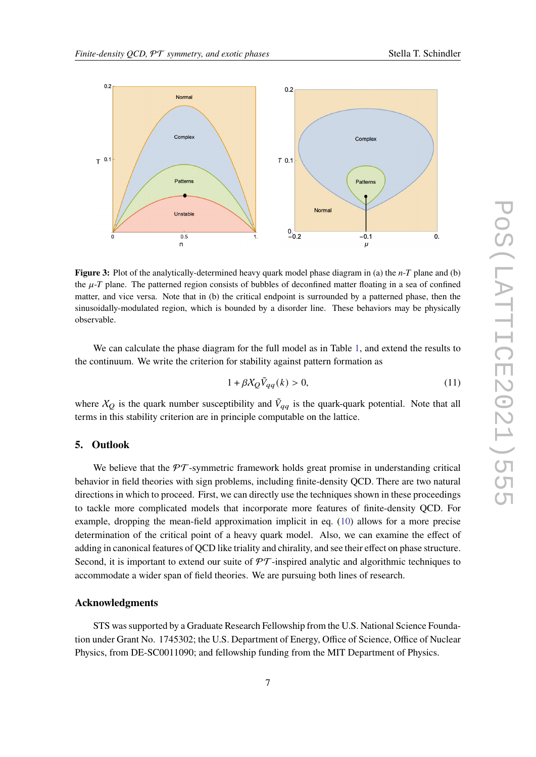<span id="page-6-0"></span>

**Figure 3:** Plot of the analytically-determined heavy quark model phase diagram in (a) the *n*-T plane and (b) the  $\mu$ -T plane. The patterned region consists of bubbles of deconfined matter floating in a sea of confined matter, and vice versa. Note that in (b) the critical endpoint is surrounded by a patterned phase, then the sinusoidally-modulated region, which is bounded by a disorder line. These behaviors may be physically observable.

We can calculate the phase diagram for the full model as in Table [1,](#page-3-0) and extend the results to the continuum. We write the criterion for stability against pattern formation as

$$
1 + \beta \chi_Q \tilde{V}_{qq}(k) > 0,\tag{11}
$$

where  $X_Q$  is the quark number susceptibility and  $\tilde{V}_{qq}$  is the quark-quark potential. Note that all terms in this stability criterion are in principle computable on the lattice.

#### **5. Outlook**

We believe that the  $\mathcal{PT}$ -symmetric framework holds great promise in understanding critical behavior in field theories with sign problems, including finite-density QCD. There are two natural directions in which to proceed. First, we can directly use the techniques shown in these proceedings to tackle more complicated models that incorporate more features of finite-density QCD. For example, dropping the mean-field approximation implicit in eq. [\(10\)](#page-5-1) allows for a more precise determination of the critical point of a heavy quark model. Also, we can examine the effect of adding in canonical features of QCD like triality and chirality, and see their effect on phase structure. Second, it is important to extend our suite of  $\mathcal{PT}$ -inspired analytic and algorithmic techniques to accommodate a wider span of field theories. We are pursuing both lines of research.

#### **Acknowledgments**

STS was supported by a Graduate Research Fellowship from the U.S. National Science Foundation under Grant No. 1745302; the U.S. Department of Energy, Office of Science, Office of Nuclear Physics, from DE-SC0011090; and fellowship funding from the MIT Department of Physics.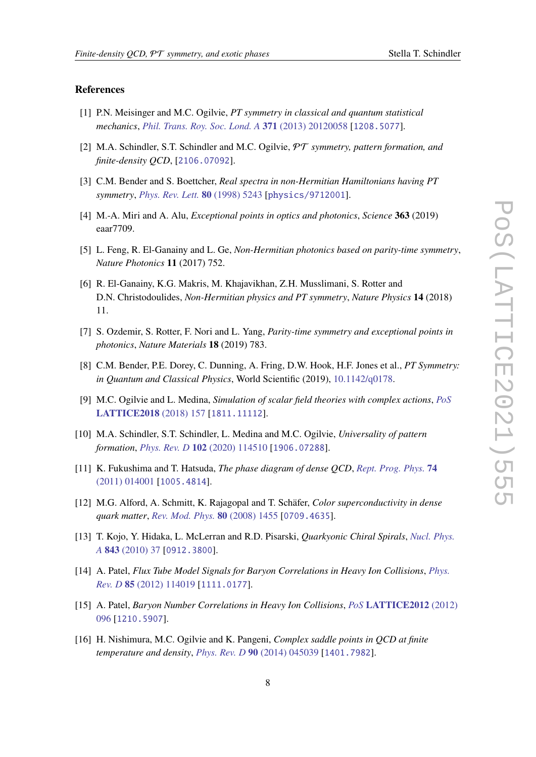#### **References**

- <span id="page-7-0"></span>[1] P.N. Meisinger and M.C. Ogilvie, *PT symmetry in classical and quantum statistical mechanics*, *[Phil. Trans. Roy. Soc. Lond. A](https://doi.org/10.1098/rsta.2012.0058)* **371** (2013) 20120058 [[1208.5077](https://arxiv.org/abs/1208.5077)].
- <span id="page-7-1"></span>[2] M.A. Schindler, S.T. Schindler and M.C. Ogilvie, PT *symmetry, pattern formation, and finite-density QCD*, [[2106.07092](https://arxiv.org/abs/2106.07092)].
- <span id="page-7-2"></span>[3] C.M. Bender and S. Boettcher, *Real spectra in non-Hermitian Hamiltonians having PT symmetry*, *[Phys. Rev. Lett.](https://doi.org/10.1103/PhysRevLett.80.5243)* **80** (1998) 5243 [[physics/9712001](https://arxiv.org/abs/physics/9712001)].
- <span id="page-7-3"></span>[4] M.-A. Miri and A. Alu, *Exceptional points in optics and photonics*, *Science* **363** (2019) eaar7709.
- [5] L. Feng, R. El-Ganainy and L. Ge, *Non-Hermitian photonics based on parity-time symmetry*, *Nature Photonics* **11** (2017) 752.
- [6] R. El-Ganainy, K.G. Makris, M. Khajavikhan, Z.H. Musslimani, S. Rotter and D.N. Christodoulides, *Non-Hermitian physics and PT symmetry*, *Nature Physics* **14** (2018) 11.
- [7] S. Ozdemir, S. Rotter, F. Nori and L. Yang, *Parity-time symmetry and exceptional points in photonics*, *Nature Materials* **18** (2019) 783.
- <span id="page-7-4"></span>[8] C.M. Bender, P.E. Dorey, C. Dunning, A. Fring, D.W. Hook, H.F. Jones et al., *PT Symmetry: in Quantum and Classical Physics*, World Scientific (2019), [10.1142/q0178.](https://doi.org/10.1142/q0178)
- <span id="page-7-5"></span>[9] M.C. Ogilvie and L. Medina, *Simulation of scalar field theories with complex actions*, *[PoS](https://doi.org/10.22323/1.334.0157)* **[LATTICE2018](https://doi.org/10.22323/1.334.0157)** (2018) 157 [[1811.11112](https://arxiv.org/abs/1811.11112)].
- <span id="page-7-6"></span>[10] M.A. Schindler, S.T. Schindler, L. Medina and M.C. Ogilvie, *Universality of pattern formation*, *Phys. Rev. D* **102** [\(2020\) 114510](https://doi.org/10.1103/PhysRevD.102.114510) [[1906.07288](https://arxiv.org/abs/1906.07288)].
- <span id="page-7-7"></span>[11] K. Fukushima and T. Hatsuda, *The phase diagram of dense QCD*, *[Rept. Prog. Phys.](https://doi.org/10.1088/0034-4885/74/1/014001)* **74** [\(2011\) 014001](https://doi.org/10.1088/0034-4885/74/1/014001) [[1005.4814](https://arxiv.org/abs/1005.4814)].
- <span id="page-7-8"></span>[12] M.G. Alford, A. Schmitt, K. Rajagopal and T. Schäfer, *Color superconductivity in dense quark matter*, *[Rev. Mod. Phys.](https://doi.org/10.1103/RevModPhys.80.1455)* **80** (2008) 1455 [[0709.4635](https://arxiv.org/abs/0709.4635)].
- <span id="page-7-9"></span>[13] T. Kojo, Y. Hidaka, L. McLerran and R.D. Pisarski, *Quarkyonic Chiral Spirals*, *[Nucl. Phys.](https://doi.org/10.1016/j.nuclphysa.2010.05.053) A* **843** [\(2010\) 37](https://doi.org/10.1016/j.nuclphysa.2010.05.053) [[0912.3800](https://arxiv.org/abs/0912.3800)].
- <span id="page-7-10"></span>[14] A. Patel, *Flux Tube Model Signals for Baryon Correlations in Heavy Ion Collisions*, *[Phys.](https://doi.org/10.1103/PhysRevD.85.114019) Rev. D* **85** [\(2012\) 114019](https://doi.org/10.1103/PhysRevD.85.114019) [[1111.0177](https://arxiv.org/abs/1111.0177)].
- <span id="page-7-11"></span>[15] A. Patel, *Baryon Number Correlations in Heavy Ion Collisions*, *PoS* **[LATTICE2012](https://doi.org/10.22323/1.164.0096)** (2012) [096](https://doi.org/10.22323/1.164.0096) [[1210.5907](https://arxiv.org/abs/1210.5907)].
- <span id="page-7-12"></span>[16] H. Nishimura, M.C. Ogilvie and K. Pangeni, *Complex saddle points in QCD at finite temperature and density*, *Phys. Rev. D* **90** [\(2014\) 045039](https://doi.org/10.1103/PhysRevD.90.045039) [[1401.7982](https://arxiv.org/abs/1401.7982)].